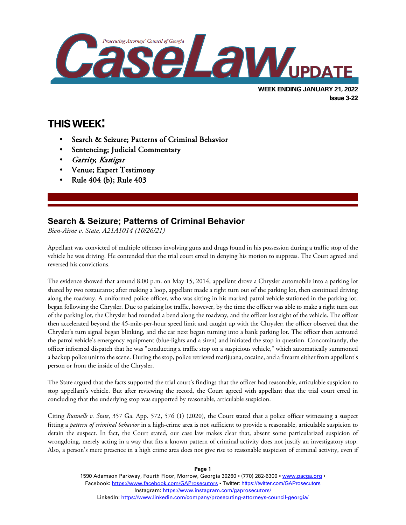

# **THIS WEEK:**

 $\overline{a}$ 

- Search & Seizure; Patterns of Criminal Behavior
- Sentencing; Judicial Commentary
- Garrity; Kastigar
- Venue; Expert Testimony
- Rule 404 (b); Rule 403

## **Search & Seizure; Patterns of Criminal Behavior**

*Bien-Aime v. State, A21A1014 (10/26/21)*

Appellant was convicted of multiple offenses involving guns and drugs found in his possession during a traffic stop of the vehicle he was driving. He contended that the trial court erred in denying his motion to suppress. The Court agreed and reversed his convictions.

The evidence showed that around 8:00 p.m. on May 15, 2014, appellant drove a Chrysler automobile into a parking lot shared by two restaurants; after making a loop, appellant made a right turn out of the parking lot, then continued driving along the roadway. A uniformed police officer, who was sitting in his marked patrol vehicle stationed in the parking lot, began following the Chrysler. Due to parking lot traffic, however, by the time the officer was able to make a right turn out of the parking lot, the Chrysler had rounded a bend along the roadway, and the officer lost sight of the vehicle. The officer then accelerated beyond the 45-mile-per-hour speed limit and caught up with the Chrysler; the officer observed that the Chrysler's turn signal began blinking, and the car next began turning into a bank parking lot. The officer then activated the patrol vehicle's emergency equipment (blue-lights and a siren) and initiated the stop in question. Concomitantly, the officer informed dispatch that he was "conducting a traffic stop on a suspicious vehicle," which automatically summoned a backup police unit to the scene. During the stop, police retrieved marijuana, cocaine, and a firearm either from appellant's person or from the inside of the Chrysler.

The State argued that the facts supported the trial court's findings that the officer had reasonable, articulable suspicion to stop appellant's vehicle. But after reviewing the record, the Court agreed with appellant that the trial court erred in concluding that the underlying stop was supported by reasonable, articulable suspicion.

Citing *Runnells v. State*, 357 Ga. App. 572, 576 (1) (2020), the Court stated that a police officer witnessing a suspect fitting a *pattern of criminal behavior* in a high-crime area is not sufficient to provide a reasonable, articulable suspicion to detain the suspect. In fact, the Court stated, our case law makes clear that, absent some particularized suspicion of wrongdoing, merely acting in a way that fits a known pattern of criminal activity does not justify an investigatory stop. Also, a person's mere presence in a high crime area does not give rise to reasonable suspicion of criminal activity, even if

> 1590 Adamson Parkway, Fourth Floor, Morrow, Georgia 30260 · (770) 282-6300 · www.pacqa.org · Facebook:<https://www.facebook.com/GAProsecutors> . Twitter[: https://twitter.com/GAProsecutors](https://twitter.com/GAProsecutors) Instagram[: https://www.instagram.com/gaprosecutors/](https://www.instagram.com/gaprosecutors/) LinkedIn:<https://www.linkedin.com/company/prosecuting-attorneys-council-georgia/>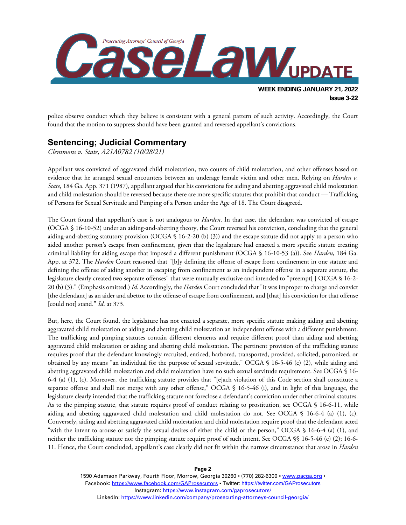

police observe conduct which they believe is consistent with a general pattern of such activity. Accordingly, the Court found that the motion to suppress should have been granted and reversed appellant's convictions.

#### **Sentencing; Judicial Commentary**

*Clemmons v. State, A21A0782 (10/28/21)*

Appellant was convicted of aggravated child molestation, two counts of child molestation, and other offenses based on evidence that he arranged sexual encounters between an underage female victim and other men. Relying on *Harden v. State*, 184 Ga. App. 371 (1987), appellant argued that his convictions for aiding and abetting aggravated child molestation and child molestation should be reversed because there are more specific statutes that prohibit that conduct — Trafficking of Persons for Sexual Servitude and Pimping of a Person under the Age of 18. The Court disagreed.

The Court found that appellant's case is not analogous to *Harden*. In that case, the defendant was convicted of escape (OCGA § 16-10-52) under an aiding-and-abetting theory, the Court reversed his conviction, concluding that the general aiding-and-abetting statutory provision (OCGA § 16-2-20 (b) (3)) and the escape statute did not apply to a person who aided another person's escape from confinement, given that the legislature had enacted a more specific statute creating criminal liability for aiding escape that imposed a different punishment (OCGA § 16-10-53 (a)). See *Harden*, 184 Ga. App. at 372. The *Harden* Court reasoned that "[b]y defining the offense of escape from confinement in one statute and defining the offense of aiding another in escaping from confinement as an independent offense in a separate statute, the legislature clearly created two separate offenses" that were mutually exclusive and intended to "preempt[ ] OCGA § 16-2- 20 (b) (3)." (Emphasis omitted.) *Id*. Accordingly, the *Harden* Court concluded that "it was improper to charge and convict [the defendant] as an aider and abettor to the offense of escape from confinement, and [that] his conviction for that offense [could not] stand." *Id*. at 373.

But, here, the Court found, the legislature has not enacted a separate, more specific statute making aiding and abetting aggravated child molestation or aiding and abetting child molestation an independent offense with a different punishment. The trafficking and pimping statutes contain different elements and require different proof than aiding and abetting aggravated child molestation or aiding and abetting child molestation. The pertinent provision of the trafficking statute requires proof that the defendant knowingly recruited, enticed, harbored, transported, provided, solicited, patronized, or obtained by any means "an individual for the purpose of sexual servitude," OCGA § 16-5-46 (c) (2), while aiding and abetting aggravated child molestation and child molestation have no such sexual servitude requirement. See OCGA § 16- 6-4 (a) (1), (c). Moreover, the trafficking statute provides that "[e]ach violation of this Code section shall constitute a separate offense and shall not merge with any other offense," OCGA § 16-5-46 (i), and in light of this language, the legislature clearly intended that the trafficking statute not foreclose a defendant's conviction under other criminal statutes. As to the pimping statute, that statute requires proof of conduct relating to prostitution, see OCGA § 16-6-11, while aiding and abetting aggravated child molestation and child molestation do not. See OCGA § 16-6-4 (a) (1), (c). Conversely, aiding and abetting aggravated child molestation and child molestation require proof that the defendant acted "with the intent to arouse or satisfy the sexual desires of either the child or the person," OCGA § 16-6-4 (a) (1), and neither the trafficking statute nor the pimping statute require proof of such intent. See OCGA §§ 16-5-46 (c) (2); 16-6- 11. Hence, the Court concluded, appellant's case clearly did not fit within the narrow circumstance that arose in *Harden*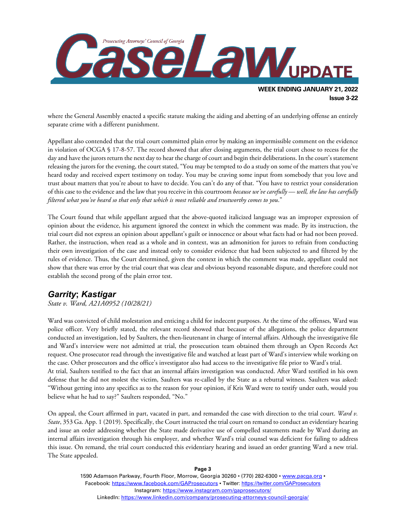

where the General Assembly enacted a specific statute making the aiding and abetting of an underlying offense an entirely separate crime with a different punishment.

Appellant also contended that the trial court committed plain error by making an impermissible comment on the evidence in violation of OCGA § 17-8-57. The record showed that after closing arguments, the trial court chose to recess for the day and have the jurors return the next day to hear the charge of court and begin their deliberations. In the court's statement releasing the jurors for the evening, the court stated, "You may be tempted to do a study on some of the matters that you've heard today and received expert testimony on today. You may be craving some input from somebody that you love and trust about matters that you're about to have to decide. You can't do any of that. "You have to restrict your consideration of this case to the evidence and the law that you receive in this courtroom *because we've carefully — well, the law has carefully filtered what you've heard so that only that which is most reliable and trustworthy comes to you*."

The Court found that while appellant argued that the above-quoted italicized language was an improper expression of opinion about the evidence, his argument ignored the context in which the comment was made. By its instruction, the trial court did not express an opinion about appellant's guilt or innocence or about what facts had or had not been proved. Rather, the instruction, when read as a whole and in context, was an admonition for jurors to refrain from conducting their own investigation of the case and instead only to consider evidence that had been subjected to and filtered by the rules of evidence. Thus, the Court determined, given the context in which the comment was made, appellant could not show that there was error by the trial court that was clear and obvious beyond reasonable dispute, and therefore could not establish the second prong of the plain error test.

## *Garrity***;** *Kastigar*

*State v. Ward, A21A0952 (10/28/21)*

Ward was convicted of child molestation and enticing a child for indecent purposes. At the time of the offenses, Ward was police officer. Very briefly stated, the relevant record showed that because of the allegations, the police department conducted an investigation, led by Saulters, the then-lieutenant in charge of internal affairs. Although the investigative file and Ward's interview were not admitted at trial, the prosecution team obtained them through an Open Records Act request. One prosecutor read through the investigative file and watched at least part of Ward's interview while working on the case. Other prosecutors and the office's investigator also had access to the investigative file prior to Ward's trial. At trial, Saulters testified to the fact that an internal affairs investigation was conducted. After Ward testified in his own defense that he did not molest the victim, Saulters was re-called by the State as a rebuttal witness. Saulters was asked: "Without getting into any specifics as to the reason for your opinion, if Kris Ward were to testify under oath, would you believe what he had to say?" Saulters responded, "No."

On appeal, the Court affirmed in part, vacated in part, and remanded the case with direction to the trial court. *Ward v. State*, 353 Ga. App. 1 (2019). Specifically, the Court instructed the trial court on remand to conduct an evidentiary hearing and issue an order addressing whether the State made derivative use of compelled statements made by Ward during an internal affairs investigation through his employer, and whether Ward's trial counsel was deficient for failing to address this issue. On remand, the trial court conducted this evidentiary hearing and issued an order granting Ward a new trial. The State appealed.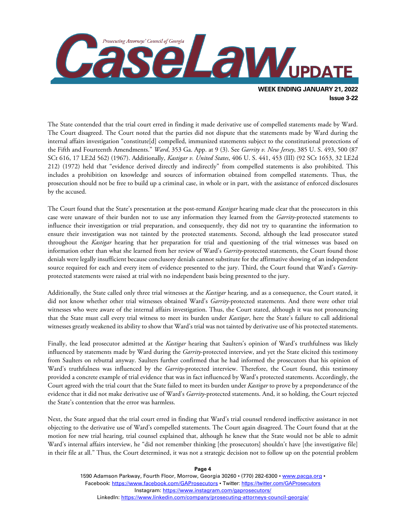

The State contended that the trial court erred in finding it made derivative use of compelled statements made by Ward. The Court disagreed. The Court noted that the parties did not dispute that the statements made by Ward during the internal affairs investigation "constitute[d] compelled, immunized statements subject to the constitutional protections of the Fifth and Fourteenth Amendments." *Ward*, 353 Ga. App. at 9 (3). See *Garrity v. New Jersey*, 385 U. S. 493, 500 (87 SCt 616, 17 LE2d 562) (1967). Additionally, *Kastigar v. United States*, 406 U. S. 441, 453 (III) (92 SCt 1653, 32 LE2d 212) (1972) held that "evidence derived directly and indirectly" from compelled statements is also prohibited. This includes a prohibition on knowledge and sources of information obtained from compelled statements. Thus, the prosecution should not be free to build up a criminal case, in whole or in part, with the assistance of enforced disclosures by the accused.

The Court found that the State's presentation at the post-remand *Kastigar* hearing made clear that the prosecutors in this case were unaware of their burden not to use any information they learned from the *Garrity*-protected statements to influence their investigation or trial preparation, and consequently, they did not try to quarantine the information to ensure their investigation was not tainted by the protected statements. Second, although the lead prosecutor stated throughout the *Kastigar* hearing that her preparation for trial and questioning of the trial witnesses was based on information other than what she learned from her review of Ward's *Garrity*-protected statements, the Court found those denials were legally insufficient because conclusory denials cannot substitute for the affirmative showing of an independent source required for each and every item of evidence presented to the jury. Third, the Court found that Ward's *Garrity*protected statements were raised at trial with no independent basis being presented to the jury.

Additionally, the State called only three trial witnesses at the *Kastigar* hearing, and as a consequence, the Court stated, it did not know whether other trial witnesses obtained Ward's *Garrity*-protected statements. And there were other trial witnesses who were aware of the internal affairs investigation. Thus, the Court stated, although it was not pronouncing that the State must call every trial witness to meet its burden under *Kastigar*, here the State's failure to call additional witnesses greatly weakened its ability to show that Ward's trial was not tainted by derivative use of his protected statements.

Finally, the lead prosecutor admitted at the *Kastigar* hearing that Saulters's opinion of Ward's truthfulness was likely influenced by statements made by Ward during the *Garrity*-protected interview, and yet the State elicited this testimony from Saulters on rebuttal anyway. Saulters further confirmed that he had informed the prosecutors that his opinion of Ward's truthfulness was influenced by the *Garrity*-protected interview. Therefore, the Court found, this testimony provided a concrete example of trial evidence that was in fact influenced by Ward's protected statements. Accordingly, the Court agreed with the trial court that the State failed to meet its burden under *Kastigar* to prove by a preponderance of the evidence that it did not make derivative use of Ward's *Garrity*-protected statements. And, it so holding, the Court rejected the State's contention that the error was harmless.

Next, the State argued that the trial court erred in finding that Ward's trial counsel rendered ineffective assistance in not objecting to the derivative use of Ward's compelled statements. The Court again disagreed. The Court found that at the motion for new trial hearing, trial counsel explained that, although he knew that the State would not be able to admit Ward's internal affairs interview, he "did not remember thinking [the prosecutors] shouldn't have [the investigative file] in their file at all." Thus, the Court determined, it was not a strategic decision not to follow up on the potential problem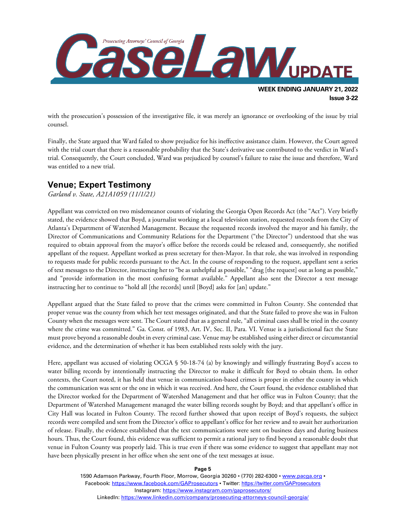

with the prosecution's possession of the investigative file, it was merely an ignorance or overlooking of the issue by trial counsel.

Finally, the State argued that Ward failed to show prejudice for his ineffective assistance claim. However, the Court agreed with the trial court that there is a reasonable probability that the State's derivative use contributed to the verdict in Ward's trial. Consequently, the Court concluded, Ward was prejudiced by counsel's failure to raise the issue and therefore, Ward was entitled to a new trial.

### **Venue; Expert Testimony**

*Garland v. State, A21A1059 (11/1/21)*

Appellant was convicted on two misdemeanor counts of violating the Georgia Open Records Act (the "Act"). Very briefly stated, the evidence showed that Boyd, a journalist working at a local television station, requested records from the City of Atlanta's Department of Watershed Management. Because the requested records involved the mayor and his family, the Director of Communications and Community Relations for the Department ("the Director") understood that she was required to obtain approval from the mayor's office before the records could be released and, consequently, she notified appellant of the request. Appellant worked as press secretary for then-Mayor. In that role, she was involved in responding to requests made for public records pursuant to the Act. In the course of responding to the request, appellant sent a series of text messages to the Director, instructing her to "be as unhelpful as possible," "drag [the request] out as long as possible," and "provide information in the most confusing format available." Appellant also sent the Director a text message instructing her to continue to "hold all [the records] until [Boyd] asks for [an] update."

Appellant argued that the State failed to prove that the crimes were committed in Fulton County. She contended that proper venue was the county from which her text messages originated, and that the State failed to prove she was in Fulton County when the messages were sent. The Court stated that as a general rule, "all criminal cases shall be tried in the county where the crime was committed." Ga. Const. of 1983, Art. IV, Sec. II, Para. VI. Venue is a jurisdictional fact the State must prove beyond a reasonable doubt in every criminal case. Venue may be established using either direct or circumstantial evidence, and the determination of whether it has been established rests solely with the jury.

Here, appellant was accused of violating OCGA § 50-18-74 (a) by knowingly and willingly frustrating Boyd's access to water billing records by intentionally instructing the Director to make it difficult for Boyd to obtain them. In other contexts, the Court noted, it has held that venue in communication-based crimes is proper in either the county in which the communication was sent or the one in which it was received. And here, the Court found, the evidence established that the Director worked for the Department of Watershed Management and that her office was in Fulton County; that the Department of Watershed Management managed the water billing records sought by Boyd; and that appellant's office in City Hall was located in Fulton County. The record further showed that upon receipt of Boyd's requests, the subject records were compiled and sent from the Director's office to appellant's office for her review and to await her authorization of release. Finally, the evidence established that the text communications were sent on business days and during business hours. Thus, the Court found, this evidence was sufficient to permit a rational jury to find beyond a reasonable doubt that venue in Fulton County was properly laid. This is true even if there was some evidence to suggest that appellant may not have been physically present in her office when she sent one of the text messages at issue.

**Page 5**

1590 Adamson Parkway, Fourth Floor, Morrow, Georgia 30260 · (770) 282-6300 · www.pacqa.org · Facebook:<https://www.facebook.com/GAProsecutors> . Twitter[: https://twitter.com/GAProsecutors](https://twitter.com/GAProsecutors) Instagram[: https://www.instagram.com/gaprosecutors/](https://www.instagram.com/gaprosecutors/) LinkedIn:<https://www.linkedin.com/company/prosecuting-attorneys-council-georgia/>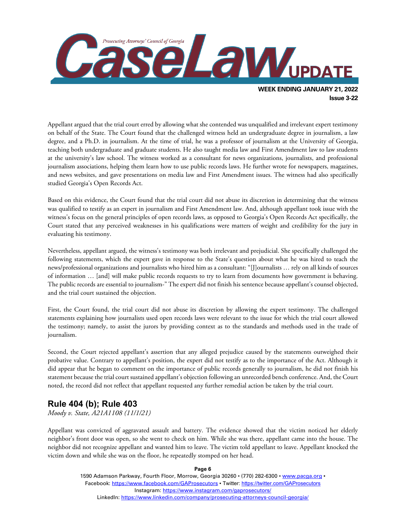

Appellant argued that the trial court erred by allowing what she contended was unqualified and irrelevant expert testimony on behalf of the State. The Court found that the challenged witness held an undergraduate degree in journalism, a law degree, and a Ph.D. in journalism. At the time of trial, he was a professor of journalism at the University of Georgia, teaching both undergraduate and graduate students. He also taught media law and First Amendment law to law students at the university's law school. The witness worked as a consultant for news organizations, journalists, and professional journalism associations, helping them learn how to use public records laws. He further wrote for newspapers, magazines, and news websites, and gave presentations on media law and First Amendment issues. The witness had also specifically studied Georgia's Open Records Act.

Based on this evidence, the Court found that the trial court did not abuse its discretion in determining that the witness was qualified to testify as an expert in journalism and First Amendment law. And, although appellant took issue with the witness's focus on the general principles of open records laws, as opposed to Georgia's Open Records Act specifically, the Court stated that any perceived weaknesses in his qualifications were matters of weight and credibility for the jury in evaluating his testimony.

Nevertheless, appellant argued, the witness's testimony was both irrelevant and prejudicial. She specifically challenged the following statements, which the expert gave in response to the State's question about what he was hired to teach the news/professional organizations and journalists who hired him as a consultant: "[J]ournalists … rely on all kinds of sources of information … [and] will make public records requests to try to learn from documents how government is behaving. The public records are essential to journalism-" The expert did not finish his sentence because appellant's counsel objected, and the trial court sustained the objection.

First, the Court found, the trial court did not abuse its discretion by allowing the expert testimony. The challenged statements explaining how journalists used open records laws were relevant to the issue for which the trial court allowed the testimony; namely, to assist the jurors by providing context as to the standards and methods used in the trade of journalism.

Second, the Court rejected appellant's assertion that any alleged prejudice caused by the statements outweighed their probative value. Contrary to appellant's position, the expert did not testify as to the importance of the Act. Although it did appear that he began to comment on the importance of public records generally to journalism, he did not finish his statement because the trial court sustained appellant's objection following an unrecorded bench conference. And, the Court noted, the record did not reflect that appellant requested any further remedial action be taken by the trial court.

#### **Rule 404 (b); Rule 403**

*Moody v. State, A21A1108 (11/1/21)*

Appellant was convicted of aggravated assault and battery. The evidence showed that the victim noticed her elderly neighbor's front door was open, so she went to check on him. While she was there, appellant came into the house. The neighbor did not recognize appellant and wanted him to leave. The victim told appellant to leave. Appellant knocked the victim down and while she was on the floor, he repeatedly stomped on her head.

**Page 6**

1590 Adamson Parkway, Fourth Floor, Morrow, Georgia 30260 · (770) 282-6300 · www.pacqa.org · Facebook:<https://www.facebook.com/GAProsecutors> . Twitter[: https://twitter.com/GAProsecutors](https://twitter.com/GAProsecutors) Instagram[: https://www.instagram.com/gaprosecutors/](https://www.instagram.com/gaprosecutors/) LinkedIn:<https://www.linkedin.com/company/prosecuting-attorneys-council-georgia/>